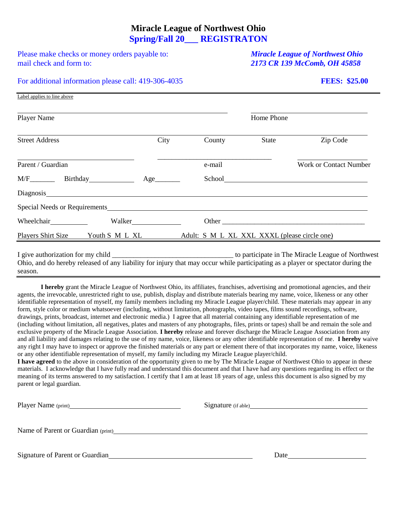### **Miracle League of Northwest Ohio Spring/Fall 20\_\_\_ REGISTRATON**

Please make checks or money orders payable to: *Miracle League of Northwest Ohio* mail check and form to: *2173 CR 139 McComb, OH 45858*

Label applies to line above

#### For additional information please call: 419-306-4035 **FEES: \$25.00**

| <b>Player Name</b>                                                                                 |            |                                              | Home Phone   |                               |
|----------------------------------------------------------------------------------------------------|------------|----------------------------------------------|--------------|-------------------------------|
| <b>Street Address</b>                                                                              | City       | County                                       | <b>State</b> | Zip Code                      |
| Parent / Guardian                                                                                  |            | e-mail                                       |              | <b>Work or Contact Number</b> |
|                                                                                                    | Age_______ | School                                       |              |                               |
|                                                                                                    |            |                                              |              |                               |
| Special Needs or Requirements <b>Exercísion</b> Special Needs or Requirements <b>Special Needs</b> |            |                                              |              |                               |
| Wheelchair                                                                                         | Walker     |                                              | Other        |                               |
| Youth S M L XL<br><b>Players Shirt Size</b>                                                        |            | Adult: S M L XL XXL XXXL (please circle one) |              |                               |

I give authorization for my child to participate in The Miracle League of Northwest Ohio, and do hereby released of any liability for injury that may occur while participating as a player or spectator during the season.

**I hereby** grant the Miracle League of Northwest Ohio, its affiliates, franchises, advertising and promotional agencies, and their agents, the irrevocable, unrestricted right to use, publish, display and distribute materials bearing my name, voice, likeness or any other identifiable representation of myself, my family members including my Miracle League player/child. These materials may appear in any form, style color or medium whatsoever (including, without limitation, photographs, video tapes, films sound recordings, software, drawings, prints, broadcast, internet and electronic media.) I agree that all material containing any identifiable representation of me (including without limitation, all negatives, plates and masters of any photographs, files, prints or tapes) shall be and remain the sole and exclusive property of the Miracle League Association. **I hereby** release and forever discharge the Miracle League Association from any and all liability and damages relating to the use of my name, voice, likeness or any other identifiable representation of me. **I hereby** waive any right I may have to inspect or approve the finished materials or any part or element there of that incorporates my name, voice, likeness or any other identifiable representation of myself, my family including my Miracle League player/child.

**I have agreed** to the above in consideration of the opportunity given to me by The Miracle League of Northwest Ohio to appear in these materials. I acknowledge that I have fully read and understand this document and that I have had any questions regarding its effect or the meaning of its terms answered to my satisfaction. I certify that I am at least 18 years of age, unless this document is also signed by my parent or legal guardian.

|                                                                                 | Signature (if able) |
|---------------------------------------------------------------------------------|---------------------|
|                                                                                 |                     |
| Name of Parent or Guardian (print)<br><u>Name of Parent or Guardian (print)</u> |                     |
| Signature of Parent or Guardian                                                 | Date                |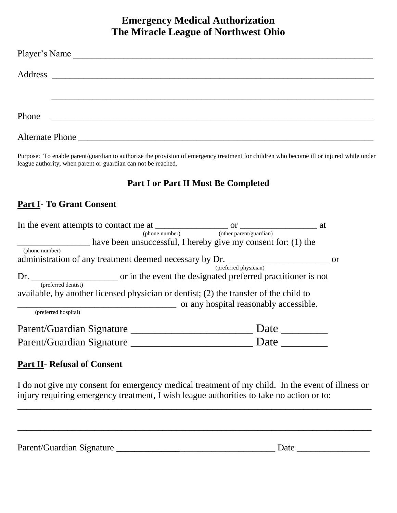# **Emergency Medical Authorization The Miracle League of Northwest Ohio**

|       | Player's Name                                                                                                                                                                                                                        |  |  |
|-------|--------------------------------------------------------------------------------------------------------------------------------------------------------------------------------------------------------------------------------------|--|--|
|       |                                                                                                                                                                                                                                      |  |  |
|       |                                                                                                                                                                                                                                      |  |  |
|       |                                                                                                                                                                                                                                      |  |  |
| Phone | <u> 1989 - Johann John Harry Harry Harry Harry Harry Harry Harry Harry Harry Harry Harry Harry Harry Harry Harry Harry Harry Harry Harry Harry Harry Harry Harry Harry Harry Harry Harry Harry Harry Harry Harry Harry Harry Har</u> |  |  |
|       |                                                                                                                                                                                                                                      |  |  |

Purpose: To enable parent/guardian to authorize the provision of emergency treatment for children who become ill or injured while under league authority, when parent or guardian can not be reached.

## **Part I or Part II Must Be Completed**

# **Part I- To Grant Consent**

|                                                                                       | (phone number) (other parent/guardian)                        |     |
|---------------------------------------------------------------------------------------|---------------------------------------------------------------|-----|
|                                                                                       | have been unsuccessful, I hereby give my consent for: (1) the |     |
| (phone number)                                                                        |                                                               |     |
| administration of any treatment deemed necessary by Dr.                               |                                                               | -or |
|                                                                                       | (preferred physician)                                         |     |
| (preferred dentist)                                                                   |                                                               |     |
| available, by another licensed physician or dentist; (2) the transfer of the child to | or any hospital reasonably accessible.                        |     |
| (preferred hospital)                                                                  |                                                               |     |
| Parent/Guardian Signature                                                             | Date                                                          |     |
| Parent/Guardian Signature                                                             | Date                                                          |     |
|                                                                                       |                                                               |     |

### **Part II- Refusal of Consent**

I do not give my consent for emergency medical treatment of my child. In the event of illness or injury requiring emergency treatment, I wish league authorities to take no action or to:

\_\_\_\_\_\_\_\_\_\_\_\_\_\_\_\_\_\_\_\_\_\_\_\_\_\_\_\_\_\_\_\_\_\_\_\_\_\_\_\_\_\_\_\_\_\_\_\_\_\_\_\_\_\_\_\_\_\_\_\_\_\_\_\_\_\_\_\_\_\_\_\_\_\_\_\_\_\_

| Parent/Guardian Signature | Date |
|---------------------------|------|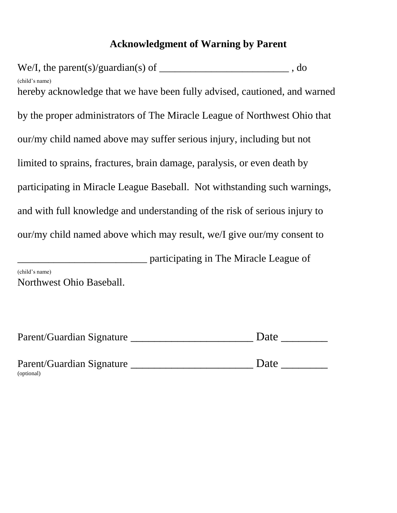# **Acknowledgment of Warning by Parent**

We/I, the parent(s)/guardian(s) of  $\qquad \qquad$ (child's name) hereby acknowledge that we have been fully advised, cautioned, and warned by the proper administrators of The Miracle League of Northwest Ohio that our/my child named above may suffer serious injury, including but not limited to sprains, fractures, brain damage, paralysis, or even death by participating in Miracle League Baseball. Not withstanding such warnings, and with full knowledge and understanding of the risk of serious injury to our/my child named above which may result, we/I give our/my consent to

\_\_\_\_\_\_\_\_\_\_\_\_\_\_\_\_\_\_\_\_\_\_\_\_\_ participating in The Miracle League of (child's name) Northwest Ohio Baseball.

| Parent/Guardian Signature | Date |  |
|---------------------------|------|--|
|---------------------------|------|--|

| Parent/Guardian Signature | Date |
|---------------------------|------|
| (optional)                |      |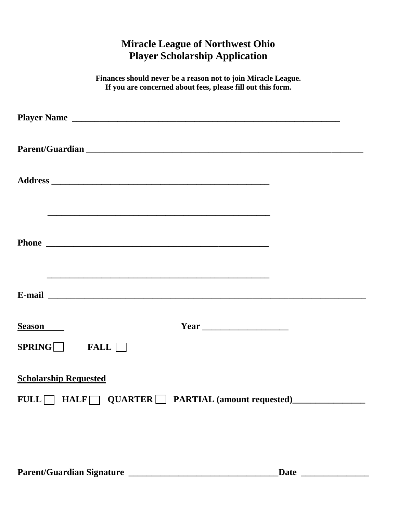# **Miracle League of Northwest Ohio Player Scholarship Application**

| Finances should never be a reason not to join Miracle League.<br>If you are concerned about fees, please fill out this form. |
|------------------------------------------------------------------------------------------------------------------------------|
|                                                                                                                              |
|                                                                                                                              |
|                                                                                                                              |
|                                                                                                                              |
|                                                                                                                              |
| <b>Season</b><br>SPRING<br>FALL                                                                                              |
| <b>Scholarship Requested</b><br>FULL HALF QUARTER PARTIAL (amount requested)                                                 |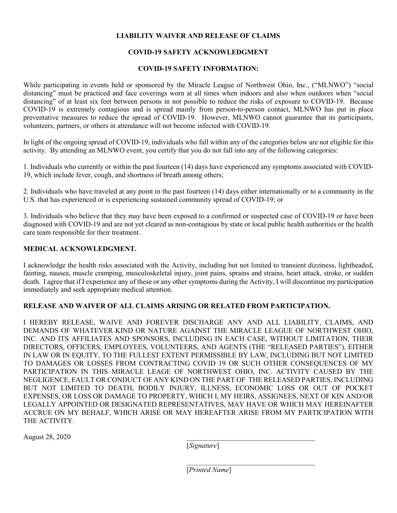### **LIABILITY WAIVER AND RELEASE OF CLAIMS**

### **COVID-19 SAFETY ACKNOWLEDGMENT**

### **COVID-19 SAFETY INFORMATION:**

While participating in events held or sponsored by the Miracle League of Northwest Ohio, Inc., ("MLNWO") "social distancing" must be practiced and face coverings worn at all times when indoors and also when outdoors when "social distancing" of at least six feet between persons in not possible to reduce the risks of exposure to COVID-19. Because COVID-19 is extremely contagious and is spread mainly from person-to-person contact, MLNWO has put in place preventative measures to reduce the spread of COVID-19. However, MLNWO cannot guarantee that its participants, volunteers, partners, or others in attendance will not become infected with COVID-19.

In light of the ongoing spread of COVID-19, individuals who fall within any of the categories below are not eligible for this activity. By attending an MLNWO event, you certify that you do not fall into any of the following categories:

1. Individuals who currently or within the past fourteen (14) days have experienced any symptoms associated with COVID-19, which include fever, cough, and shortness of breath among others;

2. Individuals who have traveled at any point in the past fourteen (14) days either internationally or to a community in the U.S. that has experienced or is experiencing sustained community spread of COVID-19; or

3. Individuals who believe that they may have been exposed to a confirmed or suspected case of COVID-19 or have been diagnosed with COVID-19 and are not yet cleared as non-contagious by state or local public health authorities or the health care team responsible for their treatment.

### **MEDICAL ACKNOWLEDGMENT.**

I acknowledge the health risks associated with the Activity, including but not limited to transient dizziness, lightheaded, fainting, nausea, muscle cramping, musculoskeletal injury, joint pains, sprains and strains, heart attack, stroke, or sudden death. I agree that if I experience any of these or any other symptoms during the Activity, I will discontinue my participation immediately and seek appropriate medical attention.

### **RELEASE AND WAIVER OF ALL CLAIMS ARISING OR RELATED FROM PARTICIPATION.**

I HEREBY RELEASE, WAIVE AND FOREVER DISCHARGE ANY AND ALL LIABILITY, CLAIMS, AND DEMANDS OF WHATEVER KIND OR NATURE AGAINST THE MIRACLE LEAGUE OF NORTHWEST OHIO, INC. AND ITS AFFILIATES AND SPONSORS, INCLUDING IN EACH CASE, WITHOUT LIMITATION, THEIR DIRECTORS, OFFICERS, EMPLOYEES, VOLUNTEERS, AND AGENTS (THE "RELEASED PARTIES"), EITHER IN LAW OR IN EQUITY, TO THE FULLEST EXTENT PERMISSIBLE BY LAW, INCLUDING BUT NOT LIMITED TO DAMAGES OR LOSSES FROM CONTRACTING COVID 19 OR SUCH OTHER CONSEQUENCES OF MY PARTICIPATION IN THIS MIRACLE LEAGE OF NORTHWEST OHIO, INC. ACTIVITY CAUSED BY THE NEGLIGENCE, FAULT OR CONDUCT OF ANY KIND ON THE PART OF THE RELEASED PARTIES, INCLUDING BUT NOT LIMITED TO DEATH, BODILY INJURY, ILLNESS, ECONOMIC LOSS OR OUT OF POCKET EXPENSES, OR LOSS OR DAMAGE TO PROPERTY, WHICH I, MY HEIRS, ASSIGNEES, NEXT OF KIN AND/OR LEGALLY APPOINTED OR DESIGNATED REPRESENTATIVES, MAY HAVE OR WHICH MAY HEREINAFTER ACCRUE ON MY BEHALF, WHICH ARISE OR MAY HEREAFTER ARISE FROM MY PARTICIPATION WITH THE ACTIVITY.

August 28, 2020 \_\_\_\_\_\_\_\_\_\_\_\_\_\_\_\_\_\_\_\_\_\_\_\_\_\_\_\_\_\_\_\_\_\_\_\_

[*Signature*]

[*Printed Name*]

\_\_\_\_\_\_\_\_\_\_\_\_\_\_\_\_\_\_\_\_\_\_\_\_\_\_\_\_\_\_\_\_\_\_\_\_